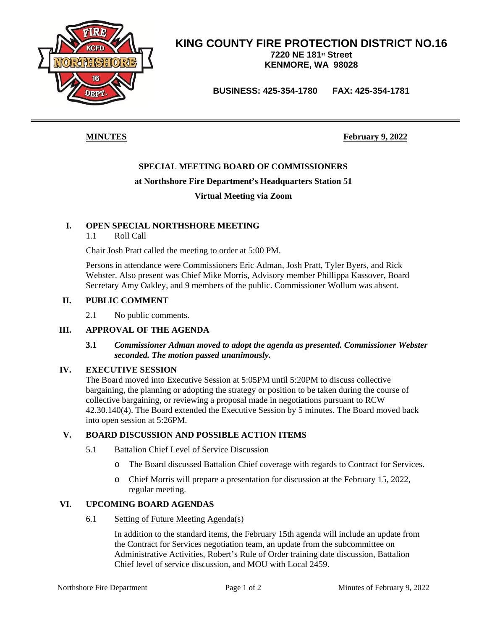

### **KING COUNTY FIRE PROTECTION DISTRICT NO.16 7220 NE 181st Street KENMORE, WA 98028**

**BUSINESS: 425-354-1780 FAX: 425-354-1781**

**MINUTES February 9, 2022**

#### **SPECIAL MEETING BOARD OF COMMISSIONERS**

#### **at Northshore Fire Department's Headquarters Station 51**

#### **Virtual Meeting via Zoom**

#### **I. OPEN SPECIAL NORTHSHORE MEETING**

1.1 Roll Call

Chair Josh Pratt called the meeting to order at 5:00 PM.

Persons in attendance were Commissioners Eric Adman, Josh Pratt, Tyler Byers, and Rick Webster. Also present was Chief Mike Morris, Advisory member Phillippa Kassover, Board Secretary Amy Oakley, and 9 members of the public. Commissioner Wollum was absent.

#### **II. PUBLIC COMMENT**

2.1 No public comments.

#### **III. APPROVAL OF THE AGENDA**

#### **3.1** *Commissioner Adman moved to adopt the agenda as presented. Commissioner Webster seconded. The motion passed unanimously.*

#### **IV. EXECUTIVE SESSION**

The Board moved into Executive Session at 5:05PM until 5:20PM to discuss collective bargaining, the planning or adopting the strategy or position to be taken during the course of collective bargaining, or reviewing a proposal made in negotiations pursuant to RCW 42.30.140(4). The Board extended the Executive Session by 5 minutes. The Board moved back into open session at 5:26PM.

#### **V. BOARD DISCUSSION AND POSSIBLE ACTION ITEMS**

- 5.1 Battalion Chief Level of Service Discussion
	- o The Board discussed Battalion Chief coverage with regards to Contract for Services.
	- o Chief Morris will prepare a presentation for discussion at the February 15, 2022, regular meeting.

#### **VI. UPCOMING BOARD AGENDAS**

6.1 Setting of Future Meeting Agenda(s)

In addition to the standard items, the February 15th agenda will include an update from the Contract for Services negotiation team, an update from the subcommittee on Administrative Activities, Robert's Rule of Order training date discussion, Battalion Chief level of service discussion, and MOU with Local 2459.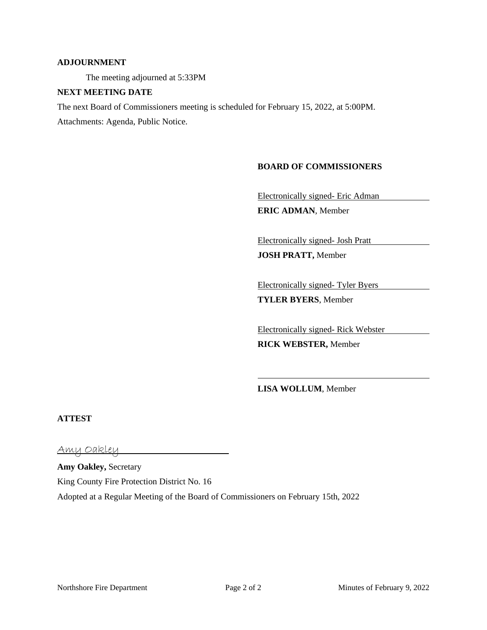#### **ADJOURNMENT**

The meeting adjourned at 5:33PM

#### **NEXT MEETING DATE**

The next Board of Commissioners meeting is scheduled for February 15, 2022, at 5:00PM.

Attachments: Agenda, Public Notice.

#### **BOARD OF COMMISSIONERS**

Electronically signed- Eric Adman

**ERIC ADMAN**, Member

Electronically signed- Josh Pratt

**JOSH PRATT,** Member

Electronically signed- Tyler Byers **TYLER BYERS**, Member

Electronically signed- Rick Webster

**RICK WEBSTER,** Member

**LISA WOLLUM**, Member

#### **ATTEST**

Amy Oakley

**Amy Oakley,** Secretary King County Fire Protection District No. 16 Adopted at a Regular Meeting of the Board of Commissioners on February 15th, 2022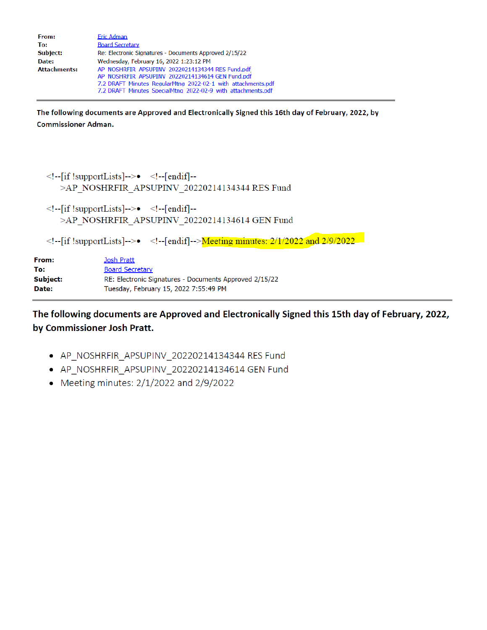| From:               | Eric Adman                                                   |
|---------------------|--------------------------------------------------------------|
| To:                 | <b>Board Secretary</b>                                       |
| Subject:            | Re: Electronic Signatures - Documents Approved 2/15/22       |
| Date:               | Wednesday, February 16, 2022 1:23:12 PM                      |
| <b>Attachments:</b> | AP NOSHRFIR APSUPINV 20220214134344 RES Fund.pdf             |
|                     | AP NOSHRFIR APSUPINV 20220214134614 GEN Fund.pdf             |
|                     | 7.2 DRAFT Minutes RegularMtng 2022-02-1 with attachments.pdf |
|                     | 7.2 DRAFT Minutes SpecialMtng 2022-02-9 with attachments.pdf |

The following documents are Approved and Electronically Signed this 16th day of February, 2022, by **Commissioner Adman.** 

```
\leq!--[if !supportLists]-->\bullet <!--[endif]--
   >AP_NOSHRFIR_APSUPINV_20220214134344 RES Fund
<!--[if !supportLists]-->\bullet <!--[endif]--
```

```
>AP NOSHRFIR APSUPINV 20220214134614 GEN Fund
```
 $\leq$ !--[if !supportLists]--> $\bullet$  <!--[endif]--> $M$ eeting minutes: 2/1/2022 and 2/9/2022

| From:    | Josh Pratt                                             |
|----------|--------------------------------------------------------|
| To:      | <b>Board Secretary</b>                                 |
| Subject: | RE: Electronic Signatures - Documents Approved 2/15/22 |
| Date:    | Tuesday, February 15, 2022 7:55:49 PM                  |
|          |                                                        |

The following documents are Approved and Electronically Signed this 15th day of February, 2022, by Commissioner Josh Pratt.

- AP NOSHRFIR APSUPINV 20220214134344 RES Fund
- AP\_NOSHRFIR\_APSUPINV\_20220214134614 GEN Fund
- Meeting minutes:  $2/1/2022$  and  $2/9/2022$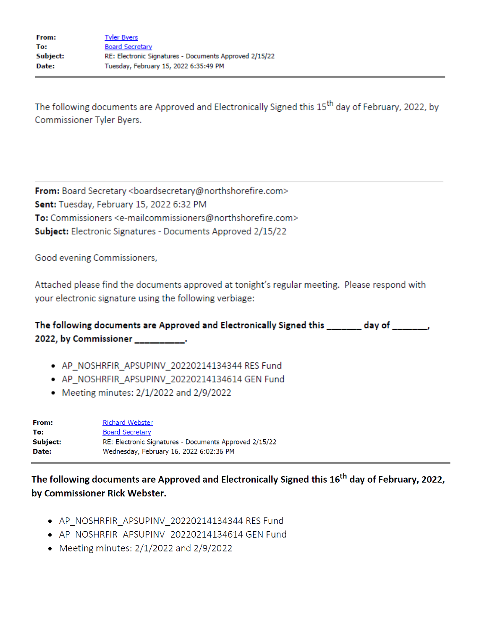The following documents are Approved and Electronically Signed this 15<sup>th</sup> day of February, 2022, by **Commissioner Tyler Byers.** 

From: Board Secretary <boardsecretary@northshorefire.com> Sent: Tuesday, February 15, 2022 6:32 PM To: Commissioners <e-mailcommissioners@northshorefire.com> Subject: Electronic Signatures - Documents Approved 2/15/22

Good evening Commissioners,

Attached please find the documents approved at tonight's regular meeting. Please respond with your electronic signature using the following verbiage:

| The following documents are Approved and Electronically Signed this _______ day of ______, |  |
|--------------------------------------------------------------------------------------------|--|
| 2022, by Commissioner ______________.                                                      |  |

- AP\_NOSHRFIR\_APSUPINV\_20220214134344 RES Fund
- · AP\_NOSHRFIR\_APSUPINV\_20220214134614 GEN Fund
- Meeting minutes:  $2/1/2022$  and  $2/9/2022$

| From:    | <b>Richard Webster</b>                                 |
|----------|--------------------------------------------------------|
| To:      | <b>Board Secretary</b>                                 |
| Subject: | RE: Electronic Signatures - Documents Approved 2/15/22 |
| Date:    | Wednesday, February 16, 2022 6:02:36 PM                |

The following documents are Approved and Electronically Signed this 16<sup>th</sup> day of February, 2022, by Commissioner Rick Webster.

- AP\_NOSHRFIR\_APSUPINV\_20220214134344 RES Fund
- AP NOSHRFIR APSUPINV 20220214134614 GEN Fund
- Meeting minutes:  $2/1/2022$  and  $2/9/2022$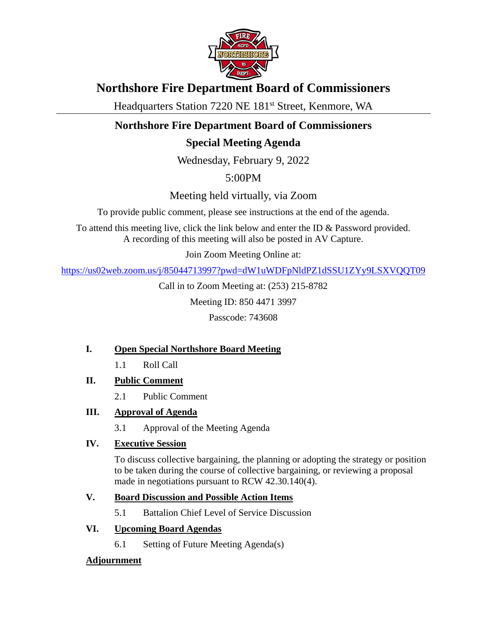

# **Northshore Fire Department Board of Commissioners**

Headquarters Station 7220 NE 181<sup>st</sup> Street, Kenmore, WA

# **Northshore Fire Department Board of Commissioners**

# **Special Meeting Agenda**

Wednesday, February 9, 2022

5:00PM

Meeting held virtually, via Zoom

To provide public comment, please see instructions at the end of the agenda.

To attend this meeting live, click the link below and enter the ID & Password provided. A recording of this meeting will also be posted in AV Capture.

Join Zoom Meeting Online at:

<https://us02web.zoom.us/j/85044713997?pwd=dW1uWDFpNldPZ1dSSU1ZYy9LSXVQQT09>

Call in to Zoom Meeting at: (253) 215-8782

Meeting ID: 850 4471 3997

Passcode: 743608

### **I. Open Special Northshore Board Meeting**

- 1.1 Roll Call
- **II. Public Comment**
	- 2.1 Public Comment
- **III. Approval of Agenda**
	- 3.1 Approval of the Meeting Agenda

### **IV. Executive Session**

To discuss collective bargaining, the planning or adopting the strategy or position to be taken during the course of collective bargaining, or reviewing a proposal made in negotiations pursuant to RCW 42.30.140(4).

### **V. Board Discussion and Possible Action Items**

5.1 Battalion Chief Level of Service Discussion

### **VI. Upcoming Board Agendas**

6.1 Setting of Future Meeting Agenda(s)

### **Adjournment**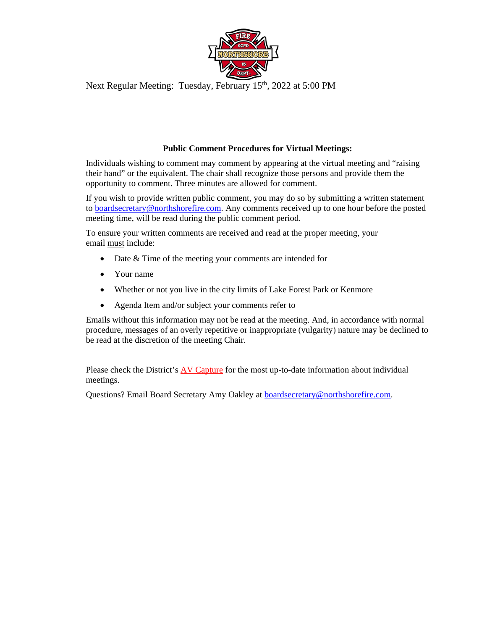

Next Regular Meeting: Tuesday, February 15<sup>th</sup>, 2022 at 5:00 PM

#### **Public Comment Procedures for Virtual Meetings:**

Individuals wishing to comment may comment by appearing at the virtual meeting and "raising their hand" or the equivalent. The chair shall recognize those persons and provide them the opportunity to comment. Three minutes are allowed for comment.

If you wish to provide written public comment, you may do so by submitting a written statement to [boardsecretary@northshorefire.com.](mailto:boardsecretary@northshorefire.com) Any comments received up to one hour before the posted meeting time, will be read during the public comment period.

To ensure your written comments are received and read at the proper meeting, your email must include:

- Date & Time of the meeting your comments are intended for
- Your name
- Whether or not you live in the city limits of Lake Forest Park or Kenmore
- Agenda Item and/or subject your comments refer to

Emails without this information may not be read at the meeting. And, in accordance with normal procedure, messages of an overly repetitive or inappropriate (vulgarity) nature may be declined to be read at the discretion of the meeting Chair.

Please check the District's [AV Capture](https://www.northshorefire.com/about/board-meetings/) for the most up-to-date information about individual meetings.

Questions? Email Board Secretary Amy Oakley at [boardsecretary@northshorefire.com.](mailto:boardsecretary@northshorefire.com)